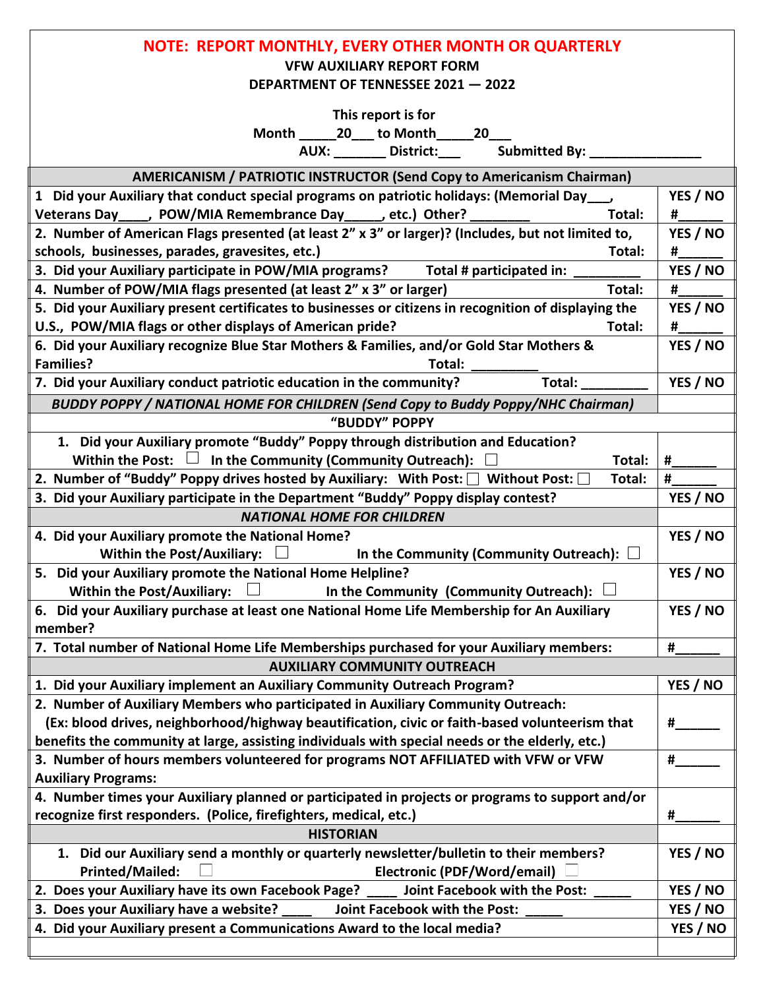| <b>NOTE: REPORT MONTHLY, EVERY OTHER MONTH OR QUARTERLY</b>                                             |          |
|---------------------------------------------------------------------------------------------------------|----------|
| <b>VFW AUXILIARY REPORT FORM</b>                                                                        |          |
| DEPARTMENT OF TENNESSEE 2021 - 2022                                                                     |          |
| This report is for                                                                                      |          |
| Month 20 to Month 20                                                                                    |          |
| AUX: District: District:<br>Submitted By: _                                                             |          |
| <b>AMERICANISM / PATRIOTIC INSTRUCTOR (Send Copy to Americanism Chairman)</b>                           |          |
| 1 Did your Auxiliary that conduct special programs on patriotic holidays: (Memorial Day                 | YES / NO |
| Veterans Day____, POW/MIA Remembrance Day_____, etc.) Other?<br>Total:                                  | #        |
| 2. Number of American Flags presented (at least 2" x 3" or larger)? (Includes, but not limited to,      | YES / NO |
| schools, businesses, parades, gravesites, etc.)<br>Total:                                               | #        |
| 3. Did your Auxiliary participate in POW/MIA programs?<br>Total # participated in:                      | YES / NO |
| 4. Number of POW/MIA flags presented (at least 2" x 3" or larger)<br>Total:                             | #        |
| 5. Did your Auxiliary present certificates to businesses or citizens in recognition of displaying the   | YES / NO |
| U.S., POW/MIA flags or other displays of American pride?<br>Total:                                      | #        |
| 6. Did your Auxiliary recognize Blue Star Mothers & Families, and/or Gold Star Mothers &                | YES / NO |
| <b>Families?</b><br>Total:                                                                              |          |
| Total:<br>7. Did your Auxiliary conduct patriotic education in the community?                           | YES / NO |
| <b>BUDDY POPPY / NATIONAL HOME FOR CHILDREN (Send Copy to Buddy Poppy/NHC Chairman)</b>                 |          |
| "BUDDY" POPPY                                                                                           |          |
| 1. Did your Auxiliary promote "Buddy" Poppy through distribution and Education?                         |          |
| In the Community (Community Outreach):<br>Within the Post: $\Box$<br>Total:                             | #        |
| 2. Number of "Buddy" Poppy drives hosted by Auxiliary: With Post: $\Box$ Without Post: $\Box$<br>Total: | #        |
| 3. Did your Auxiliary participate in the Department "Buddy" Poppy display contest?                      | YES / NO |
| <b>NATIONAL HOME FOR CHILDREN</b>                                                                       |          |
| 4. Did your Auxiliary promote the National Home?                                                        | YES / NO |
| <b>Within the Post/Auxiliary:</b><br>$\Box$<br>In the Community (Community Outreach): $\Box$            |          |
| 5. Did your Auxiliary promote the National Home Helpline?                                               | YES / NO |
| <b>Within the Post/Auxiliary:</b><br>In the Community (Community Outreach): $\Box$                      |          |
| 6. Did your Auxiliary purchase at least one National Home Life Membership for An Auxiliary              | YES / NO |
| member?                                                                                                 |          |
| 7. Total number of National Home Life Memberships purchased for your Auxiliary members:                 | #        |
| <b>AUXILIARY COMMUNITY OUTREACH</b>                                                                     |          |
| 1. Did your Auxiliary implement an Auxiliary Community Outreach Program?                                | YES / NO |
| 2. Number of Auxiliary Members who participated in Auxiliary Community Outreach:                        |          |
| (Ex: blood drives, neighborhood/highway beautification, civic or faith-based volunteerism that          | #        |
| benefits the community at large, assisting individuals with special needs or the elderly, etc.)         |          |
| 3. Number of hours members volunteered for programs NOT AFFILIATED with VFW or VFW                      | #        |
| <b>Auxiliary Programs:</b>                                                                              |          |
| 4. Number times your Auxiliary planned or participated in projects or programs to support and/or        |          |
| recognize first responders. (Police, firefighters, medical, etc.)                                       | #        |
| <b>HISTORIAN</b>                                                                                        |          |
| 1. Did our Auxiliary send a monthly or quarterly newsletter/bulletin to their members?                  | YES / NO |
| <b>Printed/Mailed:</b><br>Electronic (PDF/Word/email)                                                   |          |
| 2. Does your Auxiliary have its own Facebook Page?<br>Joint Facebook with the Post:                     | YES / NO |
| 3. Does your Auxiliary have a website?<br><b>Joint Facebook with the Post:</b>                          | YES / NO |
| 4. Did your Auxiliary present a Communications Award to the local media?                                | YES / NO |
|                                                                                                         |          |
|                                                                                                         |          |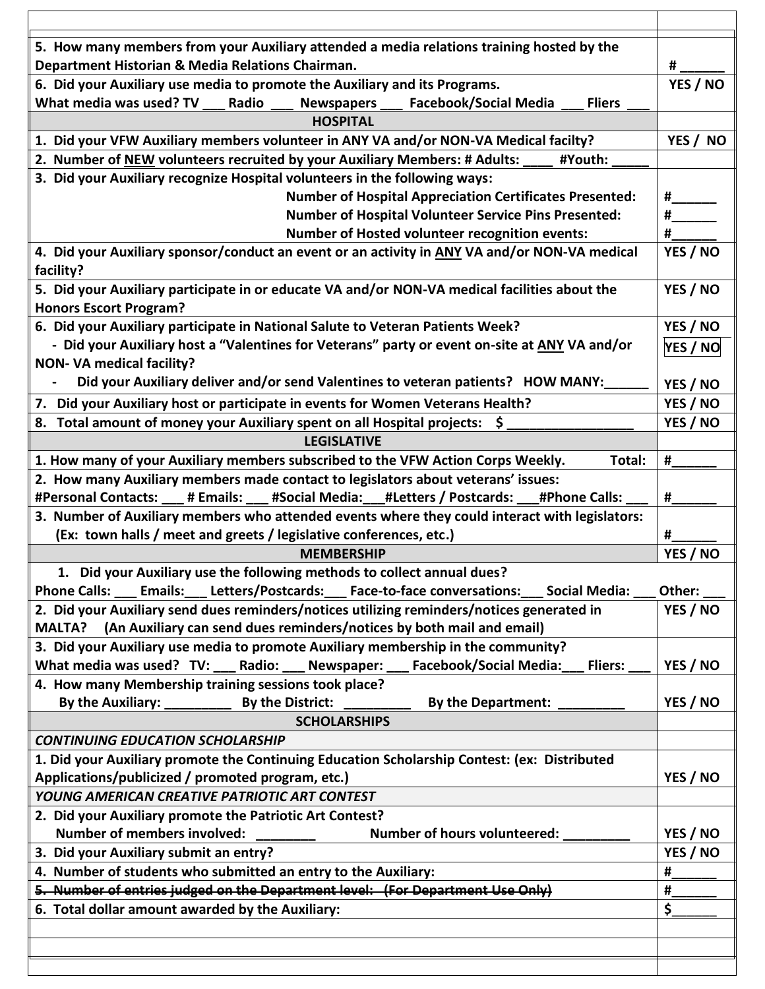| 5. How many members from your Auxiliary attended a media relations training hosted by the              |               |
|--------------------------------------------------------------------------------------------------------|---------------|
| Department Historian & Media Relations Chairman.                                                       |               |
| 6. Did your Auxiliary use media to promote the Auxiliary and its Programs.                             | YES / NO      |
| What media was used? TV<br><b>Facebook/Social Media</b><br><b>Fliers</b><br>Radio<br><b>Newspapers</b> |               |
| <b>HOSPITAL</b>                                                                                        |               |
| 1. Did your VFW Auxiliary members volunteer in ANY VA and/or NON-VA Medical facilty?                   | YES / NO      |
| 2. Number of NEW volunteers recruited by your Auxiliary Members: # Adults:<br>#Youth:                  |               |
| 3. Did your Auxiliary recognize Hospital volunteers in the following ways:                             |               |
| <b>Number of Hospital Appreciation Certificates Presented:</b>                                         |               |
| <b>Number of Hospital Volunteer Service Pins Presented:</b>                                            |               |
| <b>Number of Hosted volunteer recognition events:</b>                                                  | #             |
| 4. Did your Auxiliary sponsor/conduct an event or an activity in ANY VA and/or NON-VA medical          | YES / NO      |
| facility?                                                                                              |               |
| 5. Did your Auxiliary participate in or educate VA and/or NON-VA medical facilities about the          | YES / NO      |
| <b>Honors Escort Program?</b>                                                                          |               |
| 6. Did your Auxiliary participate in National Salute to Veteran Patients Week?                         | YES / NO      |
| - Did your Auxiliary host a "Valentines for Veterans" party or event on-site at ANY VA and/or          | YES / NO      |
| <b>NON- VA medical facility?</b>                                                                       |               |
| Did your Auxiliary deliver and/or send Valentines to veteran patients? HOW MANY:                       | YES / NO      |
| 7. Did your Auxiliary host or participate in events for Women Veterans Health?                         | YES / NO      |
| 8. Total amount of money your Auxiliary spent on all Hospital projects: \$                             | YES / NO      |
| <b>LEGISLATIVE</b>                                                                                     |               |
| 1. How many of your Auxiliary members subscribed to the VFW Action Corps Weekly.<br>Total:             | #             |
| 2. How many Auxiliary members made contact to legislators about veterans' issues:                      |               |
| #Personal Contacts: ___ # Emails: ___ #Social Media: __#Letters / Postcards: ___#Phone Calls:          | #             |
| 3. Number of Auxiliary members who attended events where they could interact with legislators:         |               |
| (Ex: town halls / meet and greets / legislative conferences, etc.)<br><b>MEMBERSHIP</b>                | #<br>YES / NO |
| 1. Did your Auxiliary use the following methods to collect annual dues?                                |               |
| Letters/Postcards: Face-to-face conversations: Social Media:<br><b>Phone Calls:</b><br><b>Emails:</b>  | Other:        |
| 2. Did your Auxiliary send dues reminders/notices utilizing reminders/notices generated in             | YES / NO      |
| MALTA? (An Auxiliary can send dues reminders/notices by both mail and email)                           |               |
| 3. Did your Auxiliary use media to promote Auxiliary membership in the community?                      |               |
| What media was used? TV: ___ Radio: ___ Newspaper: ___ Facebook/Social Media:<br><b>Fliers:</b>        | YES / NO      |
| 4. How many Membership training sessions took place?                                                   |               |
| <b>By the District:</b><br>By the Auxiliary: _________<br><b>By the Department:</b>                    | YES / NO      |
| <b>SCHOLARSHIPS</b>                                                                                    |               |
| <b>CONTINUING EDUCATION SCHOLARSHIP</b>                                                                |               |
| 1. Did your Auxiliary promote the Continuing Education Scholarship Contest: (ex: Distributed           |               |
| Applications/publicized / promoted program, etc.)                                                      | YES / NO      |
| YOUNG AMERICAN CREATIVE PATRIOTIC ART CONTEST                                                          |               |
| 2. Did your Auxiliary promote the Patriotic Art Contest?                                               |               |
| <b>Number of members involved:</b><br><b>Number of hours volunteered:</b>                              | YES / NO      |
| 3. Did your Auxiliary submit an entry?                                                                 | YES / NO      |
| 4. Number of students who submitted an entry to the Auxiliary:                                         | #             |
| 5. Number of entries judged on the Department level: (For Department Use Only)                         | #             |
| 6. Total dollar amount awarded by the Auxiliary:                                                       | \$            |
|                                                                                                        |               |
|                                                                                                        |               |
|                                                                                                        |               |